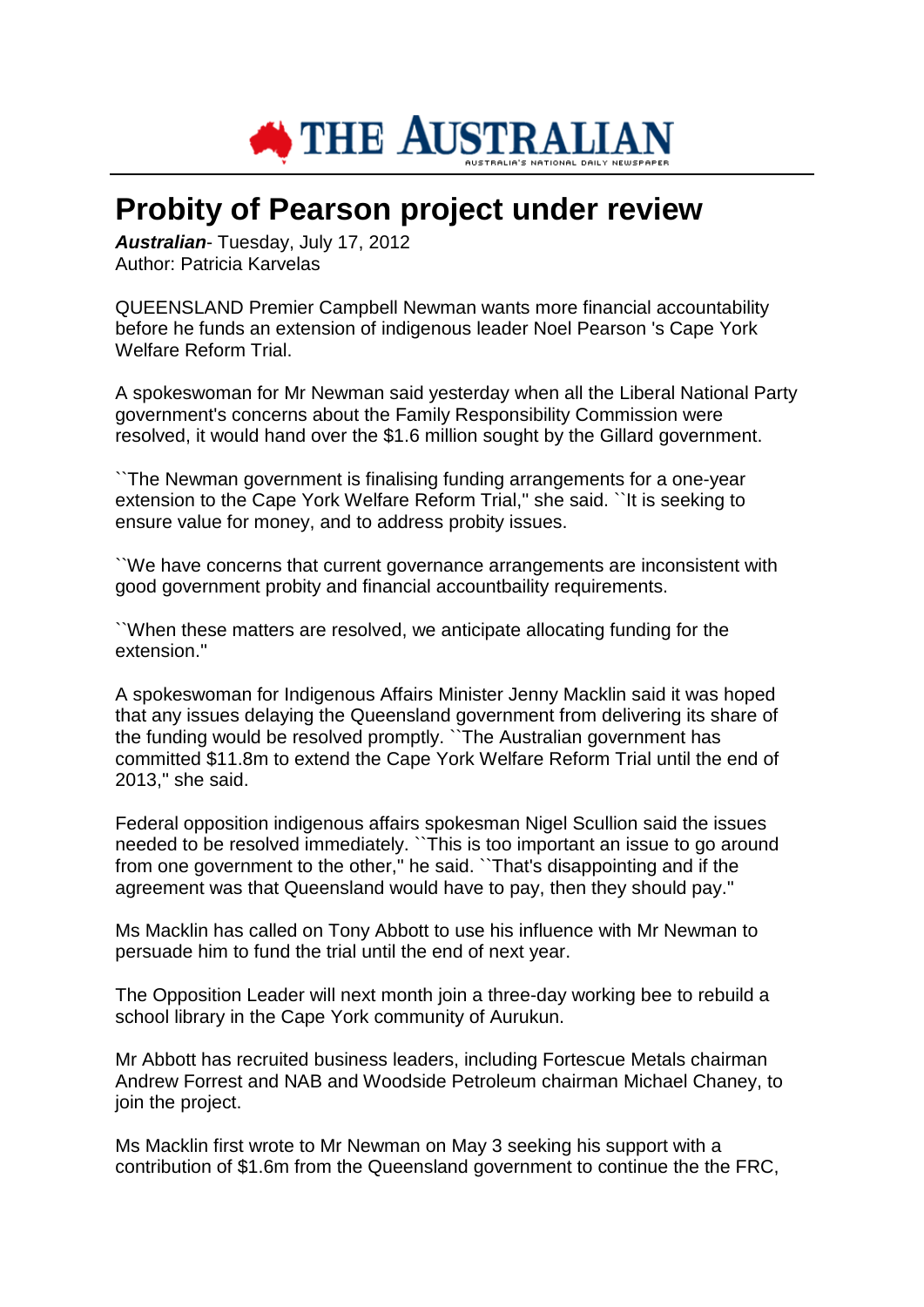

## **Probity of Pearson project under review**

*Australian*- Tuesday, July 17, 2012 Author: Patricia Karvelas

QUEENSLAND Premier Campbell Newman wants more financial accountability before he funds an extension of indigenous leader Noel Pearson 's Cape York Welfare Reform Trial.

A spokeswoman for Mr Newman said yesterday when all the Liberal National Party government's concerns about the Family Responsibility Commission were resolved, it would hand over the \$1.6 million sought by the Gillard government.

``The Newman government is finalising funding arrangements for a one-year extension to the Cape York Welfare Reform Trial,'' she said. ``It is seeking to ensure value for money, and to address probity issues.

``We have concerns that current governance arrangements are inconsistent with good government probity and financial accountbaility requirements.

``When these matters are resolved, we anticipate allocating funding for the extension.''

A spokeswoman for Indigenous Affairs Minister Jenny Macklin said it was hoped that any issues delaying the Queensland government from delivering its share of the funding would be resolved promptly. ``The Australian government has committed \$11.8m to extend the Cape York Welfare Reform Trial until the end of 2013,'' she said.

Federal opposition indigenous affairs spokesman Nigel Scullion said the issues needed to be resolved immediately. ``This is too important an issue to go around from one government to the other,'' he said. ``That's disappointing and if the agreement was that Queensland would have to pay, then they should pay.''

Ms Macklin has called on Tony Abbott to use his influence with Mr Newman to persuade him to fund the trial until the end of next year.

The Opposition Leader will next month join a three-day working bee to rebuild a school library in the Cape York community of Aurukun.

Mr Abbott has recruited business leaders, including Fortescue Metals chairman Andrew Forrest and NAB and Woodside Petroleum chairman Michael Chaney, to join the project.

Ms Macklin first wrote to Mr Newman on May 3 seeking his support with a contribution of \$1.6m from the Queensland government to continue the the FRC,